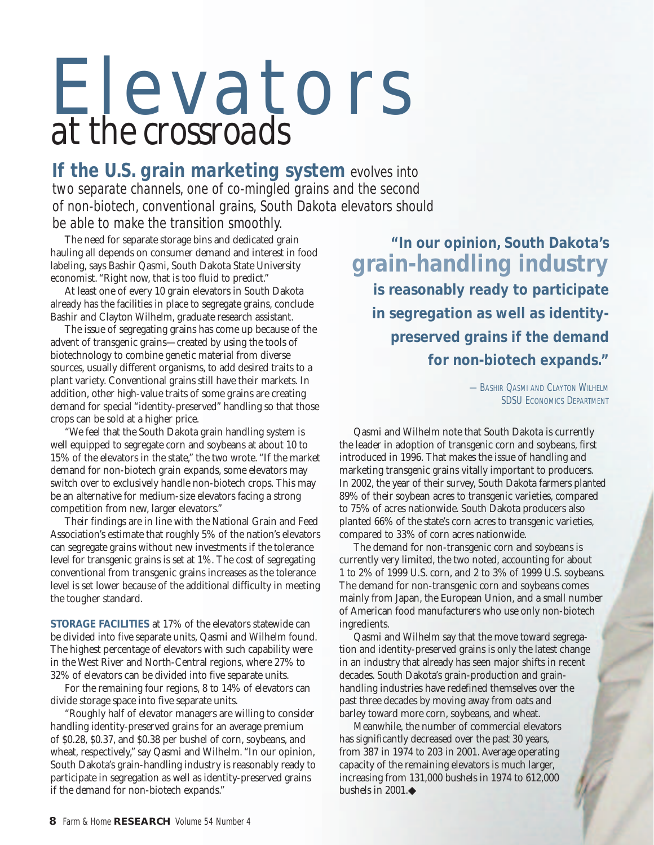## Elevators *at the crossroads*

**If the U.S. grain marketing system** evolves into two separate channels, one of co-mingled grains and the second of non-biotech, conventional grains, South Dakota elevators should be able to make the transition smoothly.

The need for separate storage bins and dedicated grain hauling all depends on consumer demand and interest in food labeling, says Bashir Qasmi, South Dakota State University economist. "Right now, that is too fluid to predict."

At least one of every 10 grain elevators in South Dakota already has the facilities in place to segregate grains, conclude Bashir and Clayton Wilhelm, graduate research assistant.

The issue of segregating grains has come up because of the advent of transgenic grains—created by using the tools of biotechnology to combine genetic material from diverse sources, usually different organisms, to add desired traits to a plant variety. Conventional grains still have their markets. In addition, other high-value traits of some grains are creating demand for special "identity-preserved" handling so that those crops can be sold at a higher price.

"We feel that the South Dakota grain handling system is well equipped to segregate corn and soybeans at about 10 to 15% of the elevators in the state," the two wrote. "If the market demand for non-biotech grain expands, some elevators may switch over to exclusively handle non-biotech crops. This may be an alternative for medium-size elevators facing a strong competition from new, larger elevators."

Their findings are in line with the National Grain and Feed Association's estimate that roughly 5% of the nation's elevators can segregate grains without new investments if the tolerance level for transgenic grains is set at 1%. The cost of segregating conventional from transgenic grains increases as the tolerance level is set lower because of the additional difficulty in meeting the tougher standard.

**STORAGE FACILITIES** at 17% of the elevators statewide can be divided into five separate units, Qasmi and Wilhelm found. The highest percentage of elevators with such capability were in the West River and North-Central regions, where 27% to 32% of elevators can be divided into five separate units.

For the remaining four regions, 8 to 14% of elevators can divide storage space into five separate units.

"Roughly half of elevator managers are willing to consider handling identity-preserved grains for an average premium of \$0.28, \$0.37, and \$0.38 per bushel of corn, soybeans, and wheat, respectively," say Qasmi and Wilhelm. "In our opinion, South Dakota's grain-handling industry is reasonably ready to participate in segregation as well as identity-preserved grains if the demand for non-biotech expands."

**"In our opinion, South Dakota's grain-handling industry is reasonably ready to participate in segregation as well as identitypreserved grains if the demand for non-biotech expands."**

> **-BASHIR QASMI AND CLAYTON WILHELM** SDSU ECONOMICS DEPARTMENT

Qasmi and Wilhelm note that South Dakota is currently the leader in adoption of transgenic corn and soybeans, first introduced in 1996. That makes the issue of handling and marketing transgenic grains vitally important to producers. In 2002, the year of their survey, South Dakota farmers planted 89% of their soybean acres to transgenic varieties, compared to 75% of acres nationwide. South Dakota producers also planted 66% of the state's corn acres to transgenic varieties, compared to 33% of corn acres nationwide.

The demand for non-transgenic corn and soybeans is currently very limited, the two noted, accounting for about 1 to 2% of 1999 U.S. corn, and 2 to 3% of 1999 U.S. soybeans. The demand for non-transgenic corn and soybeans comes mainly from Japan, the European Union, and a small number of American food manufacturers who use only non-biotech ingredients.

Qasmi and Wilhelm say that the move toward segregation and identity-preserved grains is only the latest change in an industry that already has seen major shifts in recent decades. South Dakota's grain-production and grainhandling industries have redefined themselves over the past three decades by moving away from oats and barley toward more corn, soybeans, and wheat.

Meanwhile, the number of commercial elevators has significantly decreased over the past 30 years, from 387 in 1974 to 203 in 2001. Average operating capacity of the remaining elevators is much larger, increasing from 131,000 bushels in 1974 to 612,000 bushels in 2001.◆